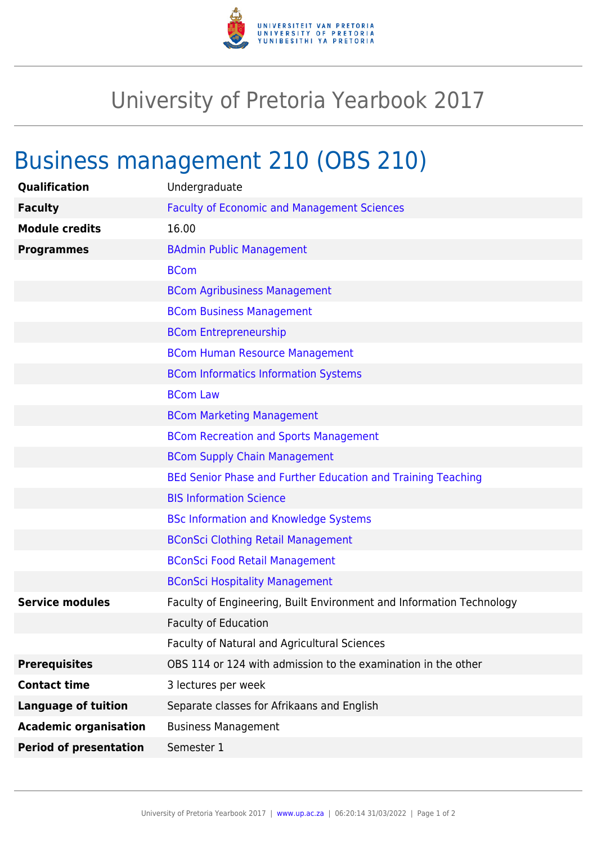

## University of Pretoria Yearbook 2017

## Business management 210 (OBS 210)

| Qualification                 | Undergraduate                                                        |
|-------------------------------|----------------------------------------------------------------------|
| <b>Faculty</b>                | <b>Faculty of Economic and Management Sciences</b>                   |
| <b>Module credits</b>         | 16.00                                                                |
| <b>Programmes</b>             | <b>BAdmin Public Management</b>                                      |
|                               | <b>BCom</b>                                                          |
|                               | <b>BCom Agribusiness Management</b>                                  |
|                               | <b>BCom Business Management</b>                                      |
|                               | <b>BCom Entrepreneurship</b>                                         |
|                               | <b>BCom Human Resource Management</b>                                |
|                               | <b>BCom Informatics Information Systems</b>                          |
|                               | <b>BCom Law</b>                                                      |
|                               | <b>BCom Marketing Management</b>                                     |
|                               | <b>BCom Recreation and Sports Management</b>                         |
|                               | <b>BCom Supply Chain Management</b>                                  |
|                               | BEd Senior Phase and Further Education and Training Teaching         |
|                               | <b>BIS Information Science</b>                                       |
|                               | <b>BSc Information and Knowledge Systems</b>                         |
|                               | <b>BConSci Clothing Retail Management</b>                            |
|                               | <b>BConSci Food Retail Management</b>                                |
|                               | <b>BConSci Hospitality Management</b>                                |
| <b>Service modules</b>        | Faculty of Engineering, Built Environment and Information Technology |
|                               | <b>Faculty of Education</b>                                          |
|                               | Faculty of Natural and Agricultural Sciences                         |
| <b>Prerequisites</b>          | OBS 114 or 124 with admission to the examination in the other        |
| <b>Contact time</b>           | 3 lectures per week                                                  |
| <b>Language of tuition</b>    | Separate classes for Afrikaans and English                           |
| <b>Academic organisation</b>  | <b>Business Management</b>                                           |
| <b>Period of presentation</b> | Semester 1                                                           |
|                               |                                                                      |